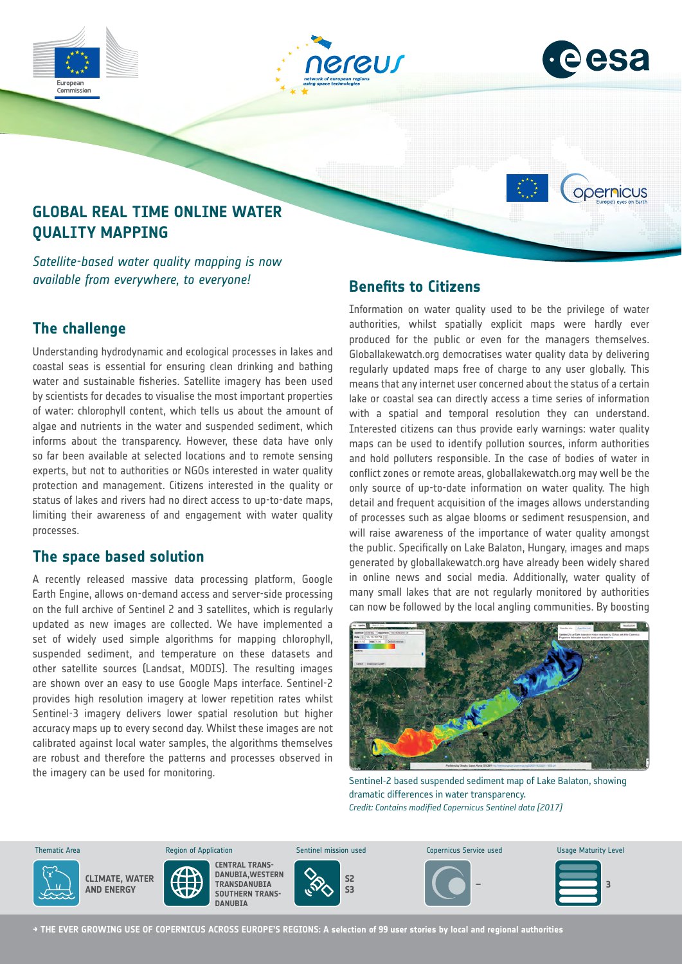



opernicus

# **GLOBAL REAL TIME ONLINE WATER QUALITY MAPPING**

*Satellite-based water quality mapping is now available from everywhere, to everyone!* 

# **The challenge**

Commission

Understanding hydrodynamic and ecological processes in lakes and coastal seas is essential for ensuring clean drinking and bathing water and sustainable fisheries. Satellite imagery has been used by scientists for decades to visualise the most important properties of water: chlorophyll content, which tells us about the amount of algae and nutrients in the water and suspended sediment, which informs about the transparency. However, these data have only so far been available at selected locations and to remote sensing experts, but not to authorities or NGOs interested in water quality protection and management. Citizens interested in the quality or status of lakes and rivers had no direct access to up-to-date maps, limiting their awareness of and engagement with water quality processes.

### **The space based solution**

A recently released massive data processing platform, Google Earth Engine, allows on-demand access and server-side processing on the full archive of Sentinel 2 and 3 satellites, which is regularly updated as new images are collected. We have implemented a set of widely used simple algorithms for mapping chlorophyll, suspended sediment, and temperature on these datasets and other satellite sources (Landsat, MODIS). The resulting images are shown over an easy to use Google Maps interface. Sentinel-2 provides high resolution imagery at lower repetition rates whilst Sentinel-3 imagery delivers lower spatial resolution but higher accuracy maps up to every second day. Whilst these images are not calibrated against local water samples, the algorithms themselves are robust and therefore the patterns and processes observed in the imagery can be used for monitoring.

## **Benefits to Citizens**

Information on water quality used to be the privilege of water authorities, whilst spatially explicit maps were hardly ever produced for the public or even for the managers themselves. Globallakewatch.org democratises water quality data by delivering regularly updated maps free of charge to any user globally. This means that any internet user concerned about the status of a certain lake or coastal sea can directly access a time series of information with a spatial and temporal resolution they can understand. Interested citizens can thus provide early warnings: water quality maps can be used to identify pollution sources, inform authorities and hold polluters responsible. In the case of bodies of water in conflict zones or remote areas, globallakewatch.org may well be the only source of up-to-date information on water quality. The high detail and frequent acquisition of the images allows understanding of processes such as algae blooms or sediment resuspension, and will raise awareness of the importance of water quality amongst the public. Specifically on Lake Balaton, Hungary, images and maps generated by globallakewatch.org have already been widely shared in online news and social media. Additionally, water quality of many small lakes that are not regularly monitored by authorities can now be followed by the local angling communities. By boosting



Sentinel-2 based suspended sediment map of Lake Balaton, showing dramatic differences in water transparency. *Credit: Contains modified Copernicus Sentinel data [2017]*



**CLIMATE, WATER AND ENERGY**



**S2**



Thematic Area **Sentinel Maturity Level** Copernicus Sentinel mission used Copernicus Service used Usage Maturity Level